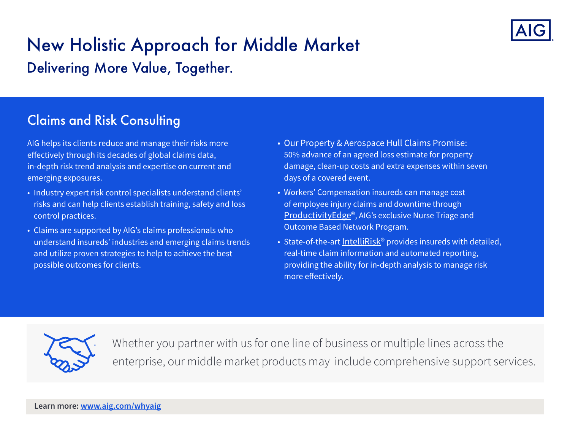

# New Holistic Approach for Middle Market Delivering More Value, Together.

### Claims and Risk Consulting

AIG helps its clients reduce and manage their risks more effectively through its decades of global claims data, in-depth risk trend analysis and expertise on current and emerging exposures.

- Industry expert risk control specialists understand clients' risks and can help clients establish training, safety and loss control practices.
- Claims are supported by AIG's claims professionals who understand insureds' industries and emerging claims trends and utilize proven strategies to help to achieve the best possible outcomes for clients.
- Our Property & Aerospace Hull Claims Promise: 50% advance of an agreed loss estimate for property damage, clean-up costs and extra expenses within seven days of a covered event.
- Workers' Compensation insureds can manage cost of employee injury claims and downtime through [ProductivityEdge®](https://www.aig.com/content/dam/aig/america-canada/us/documents/claims/productivity-edge.pdf), AIG's exclusive Nurse Triage and Outcome Based Network Program.
- State-of-the-art IntelliRisk<sup>®</sup> provides insureds with detailed, real-time claim information and automated reporting, providing the ability for in-depth analysis to manage risk more effectively.



Whether you partner with us for one line of business or multiple lines across the enterprise, our middle market products may include comprehensive support services.